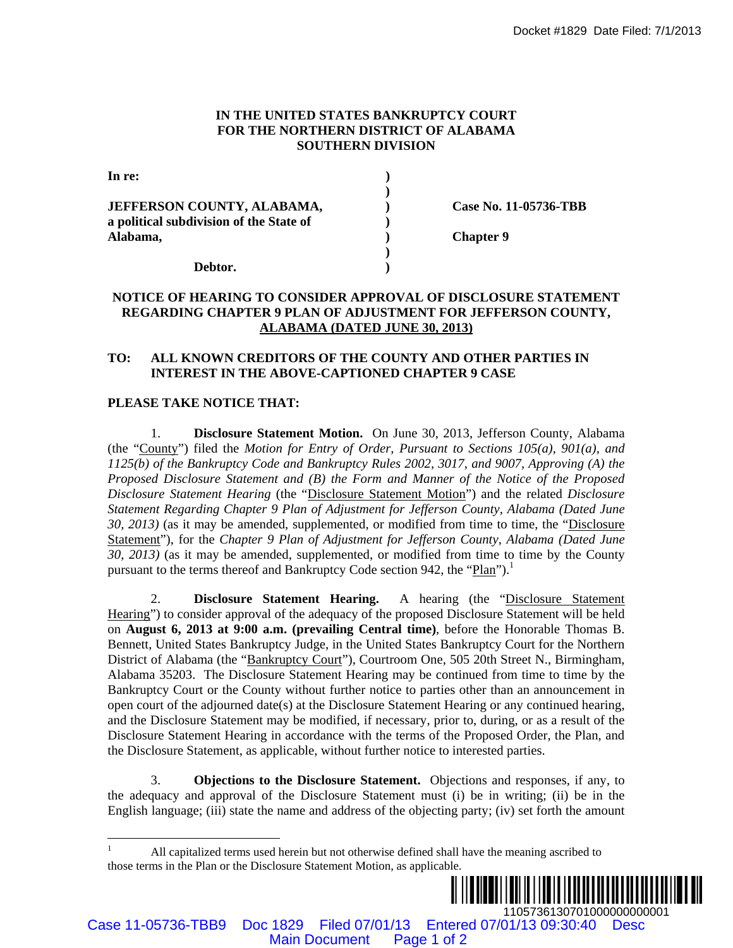### **IN THE UNITED STATES BANKRUPTCY COURT FOR THE NORTHERN DISTRICT OF ALABAMA SOUTHERN DIVISION**

| In re:                                  |                       |
|-----------------------------------------|-----------------------|
|                                         |                       |
| <b>JEFFERSON COUNTY, ALABAMA,</b>       | Case No. 11-05736-TBB |
| a political subdivision of the State of |                       |
| Alabama,                                | <b>Chapter 9</b>      |
|                                         |                       |
| Debtor.                                 |                       |

# **NOTICE OF HEARING TO CONSIDER APPROVAL OF DISCLOSURE STATEMENT REGARDING CHAPTER 9 PLAN OF ADJUSTMENT FOR JEFFERSON COUNTY, ALABAMA (DATED JUNE 30, 2013)**

### **TO: ALL KNOWN CREDITORS OF THE COUNTY AND OTHER PARTIES IN INTEREST IN THE ABOVE-CAPTIONED CHAPTER 9 CASE**

### **PLEASE TAKE NOTICE THAT:**

1. **Disclosure Statement Motion.** On June 30, 2013, Jefferson County, Alabama (the "County") filed the *Motion for Entry of Order, Pursuant to Sections 105(a), 901(a), and 1125(b) of the Bankruptcy Code and Bankruptcy Rules 2002, 3017, and 9007, Approving (A) the Proposed Disclosure Statement and (B) the Form and Manner of the Notice of the Proposed Disclosure Statement Hearing* (the "Disclosure Statement Motion") and the related *Disclosure Statement Regarding Chapter 9 Plan of Adjustment for Jefferson County, Alabama (Dated June 30, 2013)* (as it may be amended, supplemented, or modified from time to time, the "Disclosure Statement"), for the *Chapter 9 Plan of Adjustment for Jefferson County, Alabama (Dated June 30, 2013)* (as it may be amended, supplemented, or modified from time to time by the County pursuant to the terms thereof and Bankruptcy Code section 942, the "Plan").<sup>1</sup>

2. **Disclosure Statement Hearing.** A hearing (the "Disclosure Statement Hearing") to consider approval of the adequacy of the proposed Disclosure Statement will be held on **August 6, 2013 at 9:00 a.m. (prevailing Central time)**, before the Honorable Thomas B. Bennett, United States Bankruptcy Judge, in the United States Bankruptcy Court for the Northern District of Alabama (the "Bankruptcy Court"), Courtroom One, 505 20th Street N., Birmingham, Alabama 35203. The Disclosure Statement Hearing may be continued from time to time by the Bankruptcy Court or the County without further notice to parties other than an announcement in open court of the adjourned date(s) at the Disclosure Statement Hearing or any continued hearing, and the Disclosure Statement may be modified, if necessary, prior to, during, or as a result of the Disclosure Statement Hearing in accordance with the terms of the Proposed Order, the Plan, and the Disclosure Statement, as applicable, without further notice to interested parties. Docket #1829 Date Filed: 771/2013<br>
NATHEM SISTENCT COVERT<br>
NATHEM SISTENCT OF ALABAMA<br>
(SIGN COVERT PAGE 1000 ALABAMA<br>
(Sign of 2<br>
State of 2<br>
(Sign of 2<br>
State of 2<br>
(Sign of 2<br>
(Sign of 2<br>
(Sign of 2<br>
(Sign of 2<br>
(Sign

3. **Objections to the Disclosure Statement.** Objections and responses, if any, to the adequacy and approval of the Disclosure Statement must (i) be in writing; (ii) be in the English language; (iii) state the name and address of the objecting party; (iv) set forth the amount

 $\frac{1}{1}$  All capitalized terms used herein but not otherwise defined shall have the meaning ascribed to those terms in the Plan or the Disclosure Statement Motion, as applicable.



Case 11-05736-TBB9 Doc 1829 Filed 07/01/13 Entered 07/01/13 09:30:40 Desc